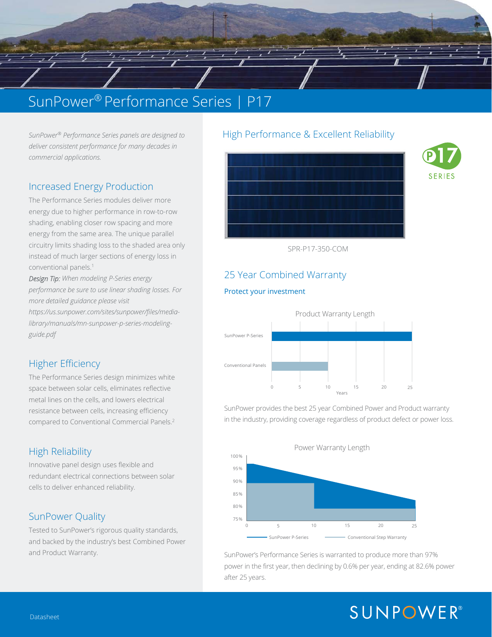## SunPower® Performance Series | P17

*SunPower® Performance Series panels are designed to deliver consistent performance for many decades in commercial applications.* 

### Increased Energy Production

circuitry limits shading loss to the shaded area only and the state of the state of the shading loss to the shaded area only and the shaded area only and the shaded area only and the shading loss to the shaded area only an The Performance Series modules deliver more energy due to higher performance in row-to-row energy from the same area. The unique parallel instead of much larger sections of energy loss in conventional panels.1

*Design Tip: When modeling P-Series energy performance be sure to use linear shading losses. For more detailed guidance please visit https://us.sunpower.com/sites/sunpower/files/medialibrary/manuals/mn-sunpower-p-series-modelingguide.pdf* 

### Higher Efficiency

The Performance Series design minimizes white space between solar cells, eliminates reflective metal lines on the cells, and lowers electrical resistance between cells, increasing efficiency compared to Conventional Commercial Panels.2

### High Reliability

Innovative panel design uses flexible and redundant electrical connections between solar cells to deliver enhanced reliability.

### SunPower Quality

Tested to SunPower's rigorous quality standards, and backed by the industry's best Combined Power and Product Warranty.

### SunPower® Performance Series panels are designed to http://digh Performance & Excellent Reliability





SPR-P17-350-COM

### 25 Year Combined Warranty

#### Protect your investment

 $\sqrt{1 - \frac{1}{2}}$ 



SunPower provides the best 25 year Combined Power and Product warranty in the industry, providing coverage regardless of product defect or power loss.



SunPower's Performance Series is warranted to produce more than 97% power in the first year, then declining by 0.6% per year, ending at 82.6% power after 25 years.

# **SUNPOWER®**